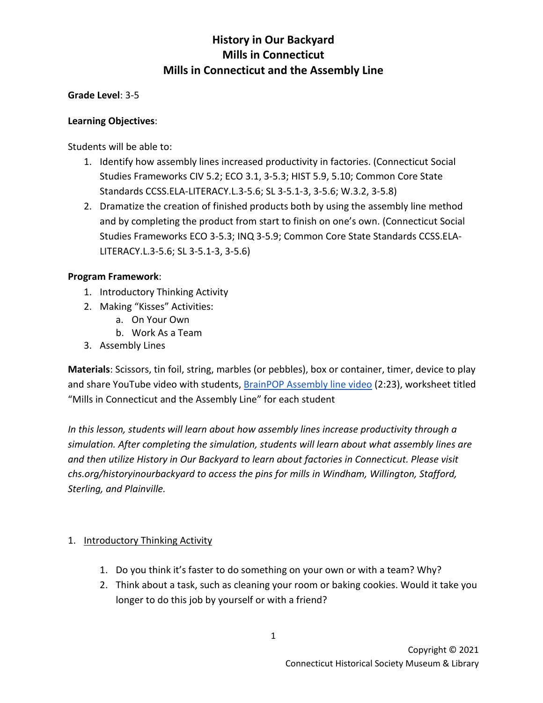**Grade Level**: 3-5

### **Learning Objectives**:

Students will be able to:

- 1. Identify how assembly lines increased productivity in factories. (Connecticut Social Studies Frameworks CIV 5.2; ECO 3.1, 3-5.3; HIST 5.9, 5.10; Common Core State Standards CCSS.ELA-LITERACY.L.3-5.6; SL 3-5.1-3, 3-5.6; W.3.2, 3-5.8)
- 2. Dramatize the creation of finished products both by using the assembly line method and by completing the product from start to finish on one's own. (Connecticut Social Studies Frameworks ECO 3-5.3; INQ 3-5.9; Common Core State Standards CCSS.ELA-LITERACY.L.3-5.6; SL 3-5.1-3, 3-5.6)

#### **Program Framework**:

- 1. Introductory Thinking Activity
- 2. Making "Kisses" Activities:
	- a. On Your Own
	- b. Work As a Team
- 3. Assembly Lines

**Materials**: Scissors, tin foil, string, marbles (or pebbles), box or container, timer, device to play and share YouTube video with students[, BrainPOP Assembly line video](https://www.youtube.com/watch?v=eGj1O2PTt6o) (2:23), worksheet titled "Mills in Connecticut and the Assembly Line" for each student

*In this lesson, students will learn about how assembly lines increase productivity through a simulation. After completing the simulation, students will learn about what assembly lines are and then utilize History in Our Backyard to learn about factories in Connecticut. Please visit chs.org/historyinourbackyard to access the pins for mills in Windham, Willington, Stafford, Sterling, and Plainville.* 

### 1. Introductory Thinking Activity

- 1. Do you think it's faster to do something on your own or with a team? Why?
- 2. Think about a task, such as cleaning your room or baking cookies. Would it take you longer to do this job by yourself or with a friend?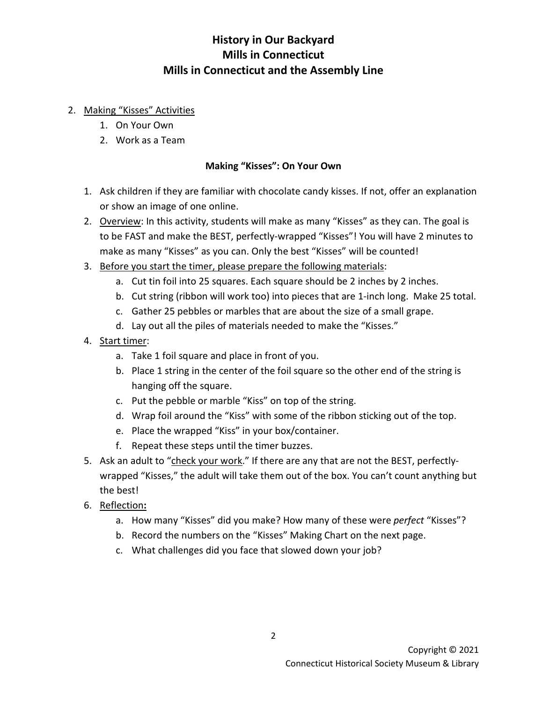### 2. Making "Kisses" Activities

- 1. On Your Own
- 2. Work as a Team

## **Making "Kisses": On Your Own**

- 1. Ask children if they are familiar with chocolate candy kisses. If not, offer an explanation or show an image of one online.
- 2. Overview: In this activity, students will make as many "Kisses" as they can. The goal is to be FAST and make the BEST, perfectly-wrapped "Kisses"! You will have 2 minutes to make as many "Kisses" as you can. Only the best "Kisses" will be counted!
- 3. Before you start the timer, please prepare the following materials:
	- a. Cut tin foil into 25 squares. Each square should be 2 inches by 2 inches.
	- b. Cut string (ribbon will work too) into pieces that are 1-inch long. Make 25 total.
	- c. Gather 25 pebbles or marbles that are about the size of a small grape.
	- d. Lay out all the piles of materials needed to make the "Kisses."
- 4. Start timer:
	- a. Take 1 foil square and place in front of you.
	- b. Place 1 string in the center of the foil square so the other end of the string is hanging off the square.
	- c. Put the pebble or marble "Kiss" on top of the string.
	- d. Wrap foil around the "Kiss" with some of the ribbon sticking out of the top.
	- e. Place the wrapped "Kiss" in your box/container.
	- f. Repeat these steps until the timer buzzes.
- 5. Ask an adult to "check your work." If there are any that are not the BEST, perfectlywrapped "Kisses," the adult will take them out of the box. You can't count anything but the best!
- 6. Reflection**:**
	- a. How many "Kisses" did you make? How many of these were *perfect* "Kisses"?
	- b. Record the numbers on the "Kisses" Making Chart on the next page.
	- c. What challenges did you face that slowed down your job?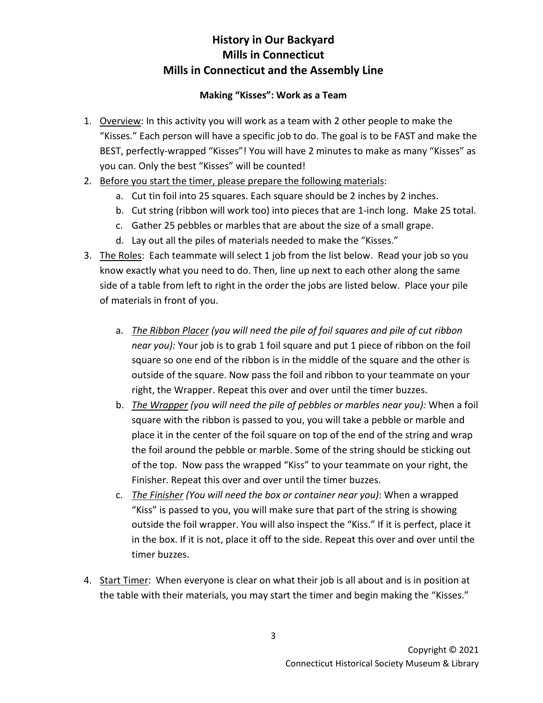### **Making "Kisses": Work as a Team**

- 1. Overview: In this activity you will work as a team with 2 other people to make the "Kisses." Each person will have a specific job to do. The goal is to be FAST and make the BEST, perfectly-wrapped "Kisses"! You will have 2 minutes to make as many "Kisses" as you can. Only the best "Kisses" will be counted!
- 2. Before you start the timer, please prepare the following materials:
	- a. Cut tin foil into 25 squares. Each square should be 2 inches by 2 inches.
	- b. Cut string (ribbon will work too) into pieces that are 1-inch long. Make 25 total.
	- c. Gather 25 pebbles or marbles that are about the size of a small grape.
	- d. Lay out all the piles of materials needed to make the "Kisses."
- 3. The Roles: Each teammate will select 1 job from the list below. Read your job so you know exactly what you need to do. Then, line up next to each other along the same side of a table from left to right in the order the jobs are listed below. Place your pile of materials in front of you.
	- a. *The Ribbon Placer (you will need the pile of foil squares and pile of cut ribbon near you):* Your job is to grab 1 foil square and put 1 piece of ribbon on the foil square so one end of the ribbon is in the middle of the square and the other is outside of the square. Now pass the foil and ribbon to your teammate on your right, the Wrapper. Repeat this over and over until the timer buzzes.
	- b. *The Wrapper (you will need the pile of pebbles or marbles near you):* When a foil square with the ribbon is passed to you, you will take a pebble or marble and place it in the center of the foil square on top of the end of the string and wrap the foil around the pebble or marble. Some of the string should be sticking out of the top. Now pass the wrapped "Kiss" to your teammate on your right, the Finisher. Repeat this over and over until the timer buzzes.
	- c. *The Finisher (You will need the box or container near you)*: When a wrapped "Kiss" is passed to you, you will make sure that part of the string is showing outside the foil wrapper. You will also inspect the "Kiss." If it is perfect, place it in the box. If it is not, place it off to the side. Repeat this over and over until the timer buzzes.
- 4. Start Timer: When everyone is clear on what their job is all about and is in position at the table with their materials, you may start the timer and begin making the "Kisses."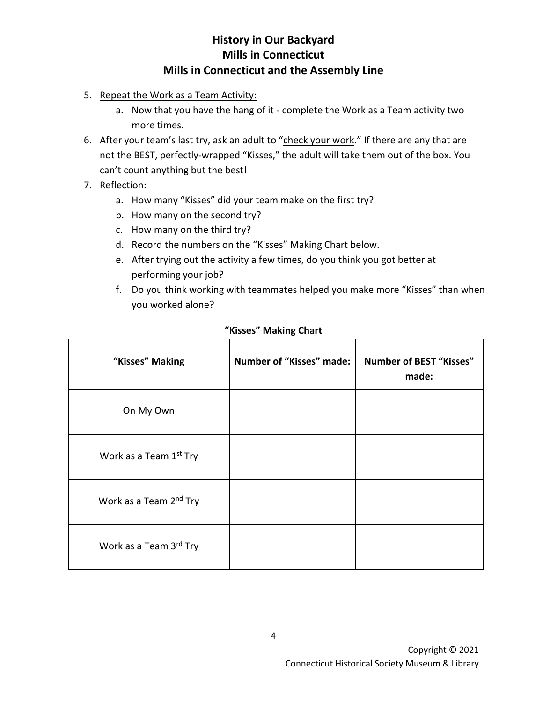- 5. Repeat the Work as a Team Activity:
	- a. Now that you have the hang of it complete the Work as a Team activity two more times.
- 6. After your team's last try, ask an adult to "check your work." If there are any that are not the BEST, perfectly-wrapped "Kisses," the adult will take them out of the box. You can't count anything but the best!
- 7. Reflection:
	- a. How many "Kisses" did your team make on the first try?
	- b. How many on the second try?
	- c. How many on the third try?
	- d. Record the numbers on the "Kisses" Making Chart below.
	- e. After trying out the activity a few times, do you think you got better at performing your job?
	- f. Do you think working with teammates helped you make more "Kisses" than when you worked alone?

| "Kisses" Making                    | Number of "Kisses" made: | <b>Number of BEST "Kisses"</b><br>made: |
|------------------------------------|--------------------------|-----------------------------------------|
| On My Own                          |                          |                                         |
| Work as a Team 1 <sup>st</sup> Try |                          |                                         |
| Work as a Team 2 <sup>nd</sup> Try |                          |                                         |
| Work as a Team 3rd Try             |                          |                                         |

### **"Kisses" Making Chart**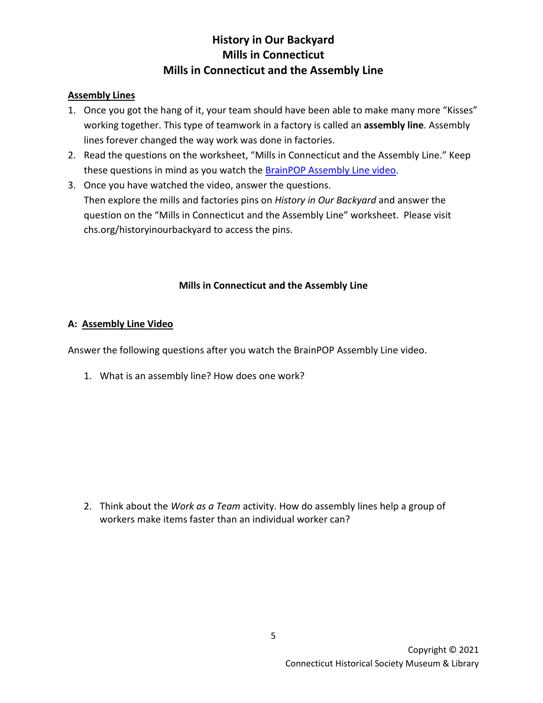### **Assembly Lines**

- 1. Once you got the hang of it, your team should have been able to make many more "Kisses" working together. This type of teamwork in a factory is called an **assembly line**. Assembly lines forever changed the way work was done in factories.
- 2. Read the questions on the worksheet, "Mills in Connecticut and the Assembly Line." Keep these questions in mind as you watch the **BrainPOP Assembly Line video**.
- 3. Once you have watched the video, answer the questions. Then explore the mills and factories pins on *History in Our Backyard* and answer the question on the "Mills in Connecticut and the Assembly Line" worksheet. Please visit chs.org/historyinourbackyard to access the pins.

### **Mills in Connecticut and the Assembly Line**

### **A: Assembly Line Video**

Answer the following questions after you watch the BrainPOP Assembly Line video.

1. What is an assembly line? How does one work?

2. Think about the *Work as a Team* activity. How do assembly lines help a group of workers make items faster than an individual worker can?